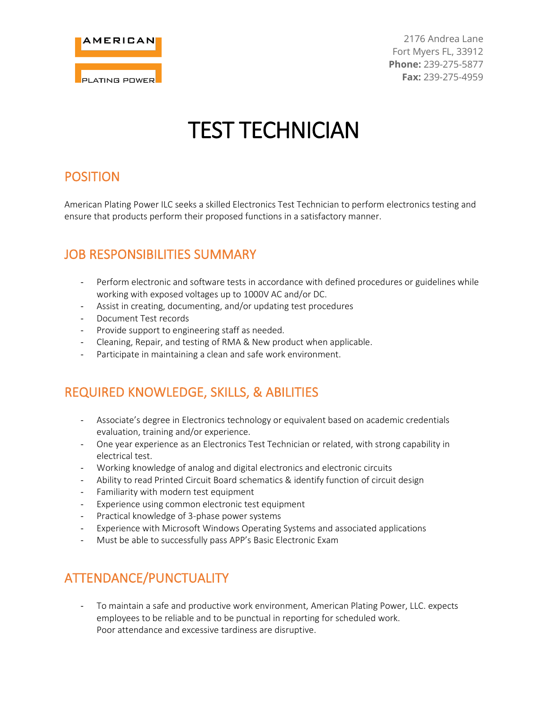

2176 Andrea Lane Fort Myers FL, 33912 **Phone:** 239-275-5877 **Fax:** 239-275-4959

# TEST TECHNICIAN

#### POSITION

American Plating Power ILC seeks a skilled Electronics Test Technician to perform electronics testing and ensure that products perform their proposed functions in a satisfactory manner.

### JOB RESPONSIBILITIES SUMMARY

- Perform electronic and software tests in accordance with defined procedures or guidelines while working with exposed voltages up to 1000V AC and/or DC.
- Assist in creating, documenting, and/or updating test procedures
- Document Test records
- Provide support to engineering staff as needed.
- Cleaning, Repair, and testing of RMA & New product when applicable.
- Participate in maintaining a clean and safe work environment.

#### REQUIRED KNOWLEDGE, SKILLS, & ABILITIES

- Associate's degree in Electronics technology or equivalent based on academic credentials evaluation, training and/or experience.
- One year experience as an Electronics Test Technician or related, with strong capability in electrical test.
- Working knowledge of analog and digital electronics and electronic circuits
- Ability to read Printed Circuit Board schematics & identify function of circuit design
- Familiarity with modern test equipment
- Experience using common electronic test equipment
- Practical knowledge of 3-phase power systems
- Experience with Microsoft Windows Operating Systems and associated applications
- Must be able to successfully pass APP's Basic Electronic Exam

#### ATTENDANCE/PUNCTUALITY

- To maintain a safe and productive work environment, American Plating Power, LLC. expects employees to be reliable and to be punctual in reporting for scheduled work. Poor attendance and excessive tardiness are disruptive.